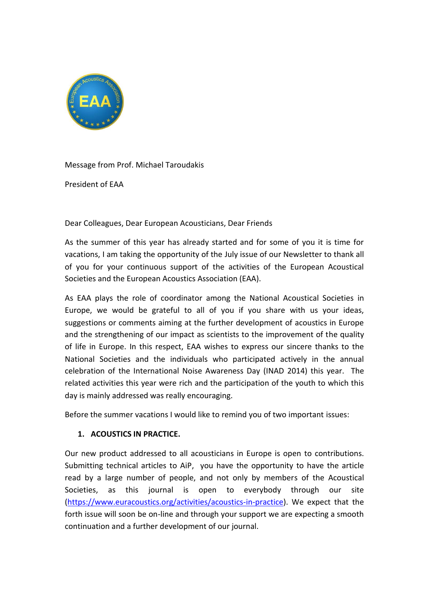

Message from Prof. Michael Taroudakis

President of EAA

Dear Colleagues, Dear European Acousticians, Dear Friends

As the summer of this year has already started and for some of you it is time for vacations, I am taking the opportunity of the July issue of our Newsletter to thank all of you for your continuous support of the activities of the European Acoustical Societies and the European Acoustics Association (EAA).

As EAA plays the role of coordinator among the National Acoustical Societies in Europe, we would be grateful to all of you if you share with us your ideas, suggestions or comments aiming at the further development of acoustics in Europe and the strengthening of our impact as scientists to the improvement of the quality of life in Europe. In this respect, EAA wishes to express our sincere thanks to the National Societies and the individuals who participated actively in the annual celebration of the International Noise Awareness Day (INAD 2014) this year. The related activities this year were rich and the participation of the youth to which this day is mainly addressed was really encouraging.

Before the summer vacations I would like to remind you of two important issues:

## **1. ACOUSTICS IN PRACTICE.**

Our new product addressed to all acousticians in Europe is open to contributions. Submitting technical articles to AiP, you have the opportunity to have the article read by a large number of people, and not only by members of the Acoustical Societies, as this journal is open to everybody through our site [\(https://www.euracoustics.org/activities/acoustics-in-practice\)](https://www.euracoustics.org/activities/acoustics-in-practice). We expect that the forth issue will soon be on-line and through your support we are expecting a smooth continuation and a further development of our journal.